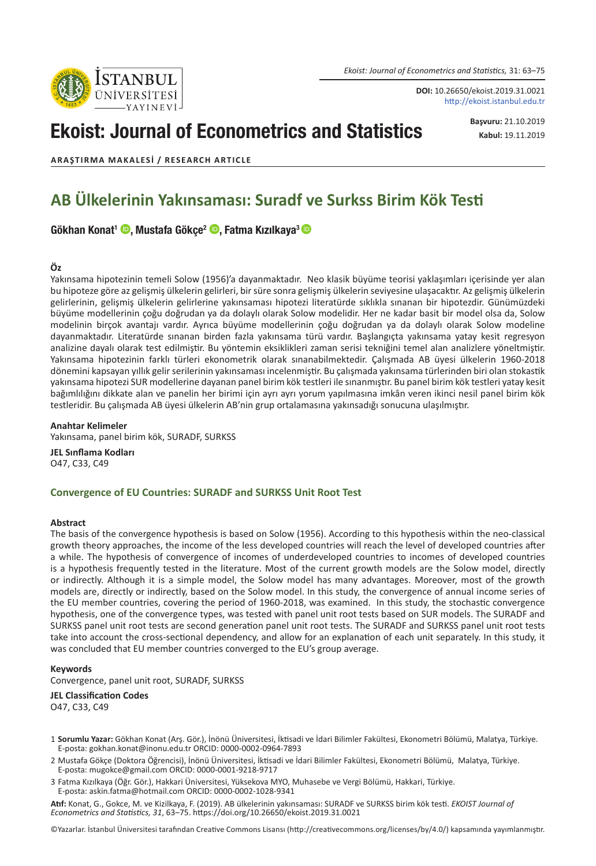Istanbul ÜNİVERSİTESİ *Ekoist: Journal of Econometrics and Statistics,* 31: 63–75

**DOI:** 10.26650/ekoist.2019.31.0021 http://ekoist.istanbul.edu.tr

# Ekoist: Journal of Econometrics and Statistics

**Başvuru:** 21.10.2019 **Kabul:** 19.11.2019

**ARAŞTIRMA MAKALESI / RESEARCH ARTICLE**

## **AB Ülkelerinin Yakınsaması: Suradf ve Surkss Birim Kök Testi**

#### Gökhan Konat<sup>1</sup> <sup>(D</sup>. Mustafa Gökçe<sup>2</sup> <sup>(D</sup>. Fatma Kızılkaya<sup>3</sup> (D

#### **Öz**

Yakınsama hipotezinin temeli Solow (1956)'a dayanmaktadır. Neo klasik büyüme teorisi yaklaşımları içerisinde yer alan bu hipoteze göre az gelişmiş ülkelerin gelirleri, bir süre sonra gelişmiş ülkelerin seviyesine ulaşacaktır. Az gelişmiş ülkelerin gelirlerinin, gelişmiş ülkelerin gelirlerine yakınsaması hipotezi literatürde sıklıkla sınanan bir hipotezdir. Günümüzdeki büyüme modellerinin çoğu doğrudan ya da dolaylı olarak Solow modelidir. Her ne kadar basit bir model olsa da, Solow modelinin birçok avantajı vardır. Ayrıca büyüme modellerinin çoğu doğrudan ya da dolaylı olarak Solow modeline dayanmaktadır. Literatürde sınanan birden fazla yakınsama türü vardır. Başlangıçta yakınsama yatay kesit regresyon analizine dayalı olarak test edilmiştir. Bu yöntemin eksiklikleri zaman serisi tekniğini temel alan analizlere yöneltmiştir. Yakınsama hipotezinin farklı türleri ekonometrik olarak sınanabilmektedir. Çalışmada AB üyesi ülkelerin 1960-2018 dönemini kapsayan yıllık gelir serilerinin yakınsaması incelenmiştir. Bu çalışmada yakınsama türlerinden biri olan stokastik yakınsama hipotezi SUR modellerine dayanan panel birim kök testleri ile sınanmıştır. Bu panel birim kök testleri yatay kesit bağımlılığını dikkate alan ve panelin her birimi için ayrı ayrı yorum yapılmasına imkân veren ikinci nesil panel birim kök testleridir. Bu çalışmada AB üyesi ülkelerin AB'nin grup ortalamasına yakınsadığı sonucuna ulaşılmıştır.

#### **Anahtar Kelimeler**

Yakınsama, panel birim kök, SURADF, SURKSS

**JEL Sınflama Kodları** O47, C33, C49

#### **Convergence of EU Countries: SURADF and SURKSS Unit Root Test**

#### **Abstract**

The basis of the convergence hypothesis is based on Solow (1956). According to this hypothesis within the neo-classical growth theory approaches, the income of the less developed countries will reach the level of developed countries after a while. The hypothesis of convergence of incomes of underdeveloped countries to incomes of developed countries is a hypothesis frequently tested in the literature. Most of the current growth models are the Solow model, directly or indirectly. Although it is a simple model, the Solow model has many advantages. Moreover, most of the growth models are, directly or indirectly, based on the Solow model. In this study, the convergence of annual income series of the EU member countries, covering the period of 1960-2018, was examined. In this study, the stochastic convergence hypothesis, one of the convergence types, was tested with panel unit root tests based on SUR models. The SURADF and SURKSS panel unit root tests are second generation panel unit root tests. The SURADF and SURKSS panel unit root tests take into account the cross-sectional dependency, and allow for an explanation of each unit separately. In this study, it was concluded that EU member countries converged to the EU's group average.

#### **Keywords**

Convergence, panel unit root, SURADF, SURKSS

#### **JEL Classification Codes**

O47, C33, C49

- 1 **Sorumlu Yazar:** Gökhan Konat (Arş. Gör.), İnönü Üniversitesi, İktisadi ve İdari Bilimler Fakültesi, Ekonometri Bölümü, Malatya, Türkiye. E-posta: gokhan.konat@inonu.edu.tr ORCID: 0000-0002-0964-7893
- 2 Mustafa Gökçe (Doktora Öğrencisi), İnönü Üniversitesi, İktisadi ve İdari Bilimler Fakültesi, Ekonometri Bölümü, Malatya, Türkiye. E-posta: mugokce@gmail.com ORCID: 0000-0001-9218-9717
- 3 Fatma Kızılkaya (Öğr. Gör.), Hakkari Üniversitesi, Yüksekova MYO, Muhasebe ve Vergi Bölümü, Hakkari, Türkiye. E-posta: askin.fatma@hotmail.com ORCID: 0000-0002-1028-9341

**Atıf:** Konat, G., Gokce, M. ve Kizilkaya, F. (2019). AB ülkelerinin yakınsaması: SURADF ve SURKSS birim kök testi. *EKOIST Journal of Econometrics and Statistics, 31*, 63‒75. https://doi.org/10.26650/ekoist.2019.31.0021

©Yazarlar. İstanbul Üniversitesi tarafından Creative Commons Lisansı (http://creativecommons.org/licenses/by/4.0/) kapsamında yayımlanmıştır.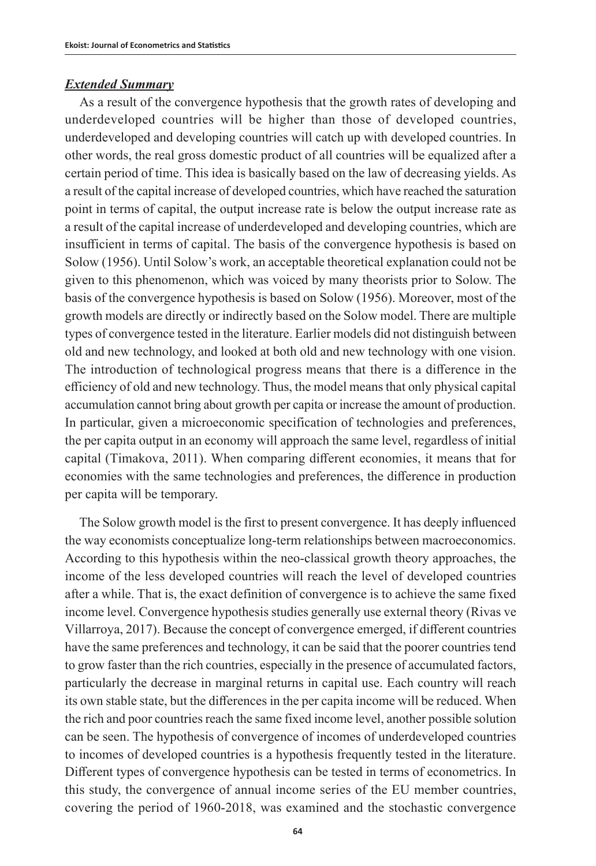## *Extended Summary*

As a result of the convergence hypothesis that the growth rates of developing and underdeveloped countries will be higher than those of developed countries, underdeveloped and developing countries will catch up with developed countries. In other words, the real gross domestic product of all countries will be equalized after a certain period of time. This idea is basically based on the law of decreasing yields. As a result of the capital increase of developed countries, which have reached the saturation point in terms of capital, the output increase rate is below the output increase rate as a result of the capital increase of underdeveloped and developing countries, which are insufficient in terms of capital. The basis of the convergence hypothesis is based on Solow (1956). Until Solow's work, an acceptable theoretical explanation could not be given to this phenomenon, which was voiced by many theorists prior to Solow. The basis of the convergence hypothesis is based on Solow (1956). Moreover, most of the growth models are directly or indirectly based on the Solow model. There are multiple types of convergence tested in the literature. Earlier models did not distinguish between old and new technology, and looked at both old and new technology with one vision. The introduction of technological progress means that there is a difference in the efficiency of old and new technology. Thus, the model means that only physical capital accumulation cannot bring about growth per capita or increase the amount of production. In particular, given a microeconomic specification of technologies and preferences, the per capita output in an economy will approach the same level, regardless of initial capital (Timakova, 2011). When comparing different economies, it means that for economies with the same technologies and preferences, the difference in production per capita will be temporary.

The Solow growth model is the first to present convergence. It has deeply influenced the way economists conceptualize long-term relationships between macroeconomics. According to this hypothesis within the neo-classical growth theory approaches, the income of the less developed countries will reach the level of developed countries after a while. That is, the exact definition of convergence is to achieve the same fixed income level. Convergence hypothesis studies generally use external theory (Rivas ve Villarroya, 2017). Because the concept of convergence emerged, if different countries have the same preferences and technology, it can be said that the poorer countries tend to grow faster than the rich countries, especially in the presence of accumulated factors, particularly the decrease in marginal returns in capital use. Each country will reach its own stable state, but the differences in the per capita income will be reduced. When the rich and poor countries reach the same fixed income level, another possible solution can be seen. The hypothesis of convergence of incomes of underdeveloped countries to incomes of developed countries is a hypothesis frequently tested in the literature. Different types of convergence hypothesis can be tested in terms of econometrics. In this study, the convergence of annual income series of the EU member countries, covering the period of 1960-2018, was examined and the stochastic convergence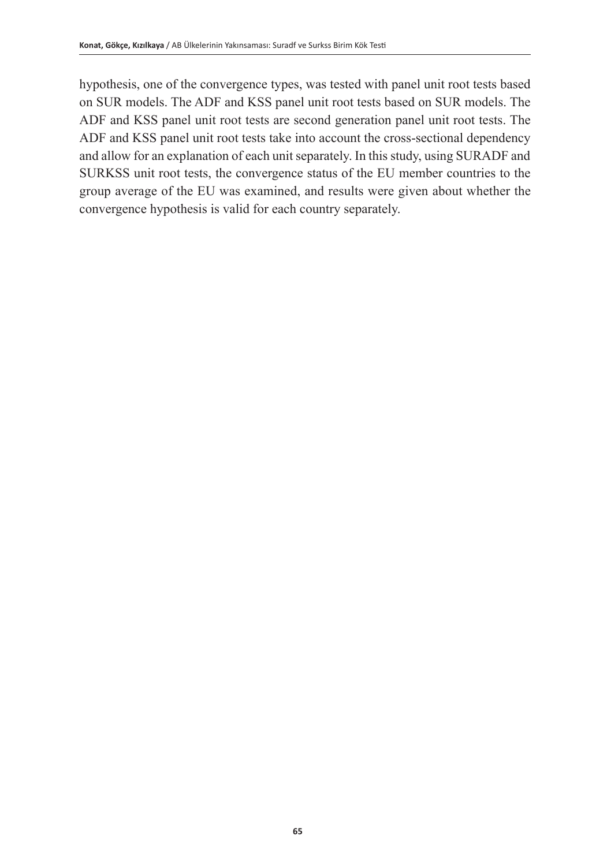hypothesis, one of the convergence types, was tested with panel unit root tests based on SUR models. The ADF and KSS panel unit root tests based on SUR models. The ADF and KSS panel unit root tests are second generation panel unit root tests. The ADF and KSS panel unit root tests take into account the cross-sectional dependency and allow for an explanation of each unit separately. In this study, using SURADF and SURKSS unit root tests, the convergence status of the EU member countries to the group average of the EU was examined, and results were given about whether the convergence hypothesis is valid for each country separately.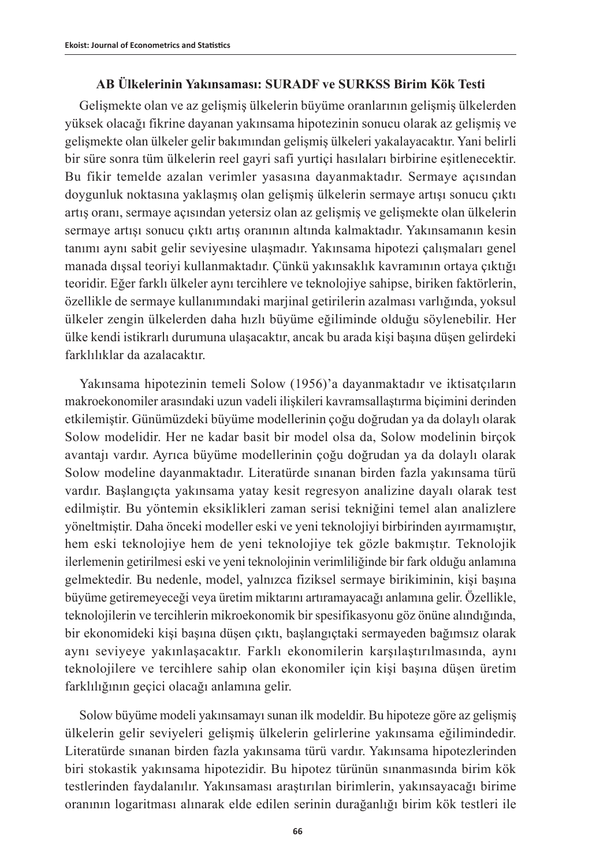## **AB Ülkelerinin Yakınsaması: SURADF ve SURKSS Birim Kök Testi**

Gelişmekte olan ve az gelişmiş ülkelerin büyüme oranlarının gelişmiş ülkelerden yüksek olacağı fikrine dayanan yakınsama hipotezinin sonucu olarak az gelişmiş ve gelişmekte olan ülkeler gelir bakımından gelişmiş ülkeleri yakalayacaktır. Yani belirli bir süre sonra tüm ülkelerin reel gayri safi yurtiçi hasılaları birbirine eşitlenecektir. Bu fikir temelde azalan verimler yasasına dayanmaktadır. Sermaye açısından doygunluk noktasına yaklaşmış olan gelişmiş ülkelerin sermaye artışı sonucu çıktı artış oranı, sermaye açısından yetersiz olan az gelişmiş ve gelişmekte olan ülkelerin sermaye artışı sonucu çıktı artış oranının altında kalmaktadır. Yakınsamanın kesin tanımı aynı sabit gelir seviyesine ulaşmadır. Yakınsama hipotezi çalışmaları genel manada dışsal teoriyi kullanmaktadır. Çünkü yakınsaklık kavramının ortaya çıktığı teoridir. Eğer farklı ülkeler aynı tercihlere ve teknolojiye sahipse, biriken faktörlerin, özellikle de sermaye kullanımındaki marjinal getirilerin azalması varlığında, yoksul ülkeler zengin ülkelerden daha hızlı büyüme eğiliminde olduğu söylenebilir. Her ülke kendi istikrarlı durumuna ulaşacaktır, ancak bu arada kişi başına düşen gelirdeki farklılıklar da azalacaktır.

Yakınsama hipotezinin temeli Solow (1956)'a dayanmaktadır ve iktisatçıların makroekonomiler arasındaki uzun vadeli ilişkileri kavramsallaştırma biçimini derinden etkilemiştir. Günümüzdeki büyüme modellerinin çoğu doğrudan ya da dolaylı olarak Solow modelidir. Her ne kadar basit bir model olsa da, Solow modelinin birçok avantajı vardır. Ayrıca büyüme modellerinin çoğu doğrudan ya da dolaylı olarak Solow modeline dayanmaktadır. Literatürde sınanan birden fazla yakınsama türü vardır. Başlangıçta yakınsama yatay kesit regresyon analizine dayalı olarak test edilmiştir. Bu yöntemin eksiklikleri zaman serisi tekniğini temel alan analizlere yöneltmiştir. Daha önceki modeller eski ve yeni teknolojiyi birbirinden ayırmamıştır, hem eski teknolojiye hem de yeni teknolojiye tek gözle bakmıştır. Teknolojik ilerlemenin getirilmesi eski ve yeni teknolojinin verimliliğinde bir fark olduğu anlamına gelmektedir. Bu nedenle, model, yalnızca fiziksel sermaye birikiminin, kişi başına büyüme getiremeyeceği veya üretim miktarını artıramayacağı anlamına gelir. Özellikle, teknolojilerin ve tercihlerin mikroekonomik bir spesifikasyonu göz önüne alındığında, bir ekonomideki kişi başına düşen çıktı, başlangıçtaki sermayeden bağımsız olarak aynı seviyeye yakınlaşacaktır. Farklı ekonomilerin karşılaştırılmasında, aynı teknolojilere ve tercihlere sahip olan ekonomiler için kişi başına düşen üretim farklılığının geçici olacağı anlamına gelir.

Solow büyüme modeli yakınsamayı sunan ilk modeldir. Bu hipoteze göre az gelişmiş ülkelerin gelir seviyeleri gelişmiş ülkelerin gelirlerine yakınsama eğilimindedir. Literatürde sınanan birden fazla yakınsama türü vardır. Yakınsama hipotezlerinden biri stokastik yakınsama hipotezidir. Bu hipotez türünün sınanmasında birim kök testlerinden faydalanılır. Yakınsaması araştırılan birimlerin, yakınsayacağı birime oranının logaritması alınarak elde edilen serinin durağanlığı birim kök testleri ile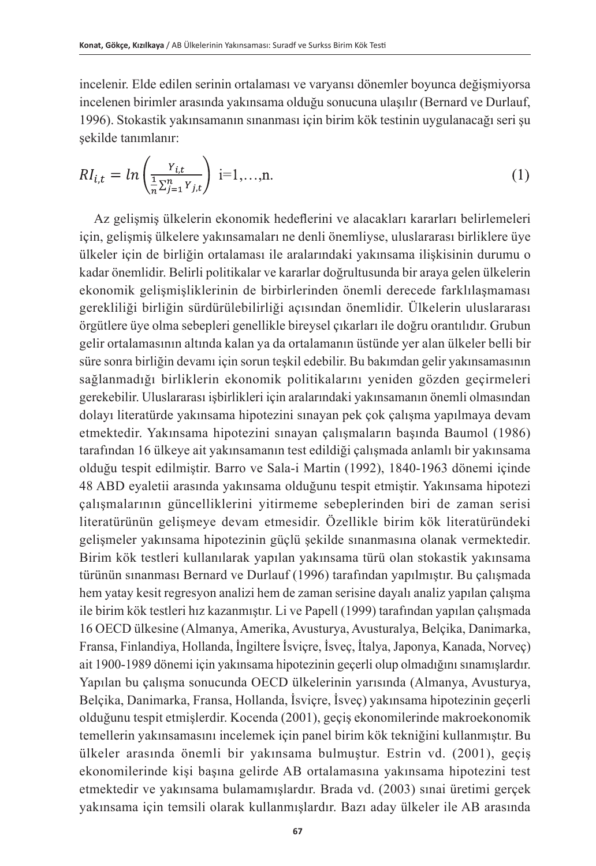incelenir. Elde edilen serinin ortalaması ve varyansı dönemler boyunca değişmiyorsa incelenen birimler arasında yakınsama olduğu sonucuna ulaşılır (Bernard ve Durlauf, 1996). Stokastik yakınsamanın sınanması için birim kök testinin uygulanacağı seri şu şekilde tanımlanır:

$$
RI_{i,t} = ln\left(\frac{Y_{i,t}}{\frac{1}{n}\sum_{j=1}^{n}Y_{j,t}}\right) i=1,...,n.
$$
 (1)

Az gelişmiş ülkelerin ekonomik hedeflerini ve alacakları kararları belirlemeleri için, gelişmiş ülkelere yakınsamaları ne denli önemliyse, uluslararası birliklere üye ülkeler için de birliğin ortalaması ile aralarındaki yakınsama ilişkisinin durumu o kadar önemlidir. Belirli politikalar ve kararlar doğrultusunda bir araya gelen ülkelerin ekonomik gelişmişliklerinin de birbirlerinden önemli derecede farklılaşmaması gerekliliği birliğin sürdürülebilirliği açısından önemlidir. Ülkelerin uluslararası örgütlere üye olma sebepleri genellikle bireysel çıkarları ile doğru orantılıdır. Grubun gelir ortalamasının altında kalan ya da ortalamanın üstünde yer alan ülkeler belli bir süre sonra birliğin devamı için sorun teşkil edebilir. Bu bakımdan gelir yakınsamasının sağlanmadığı birliklerin ekonomik politikalarını yeniden gözden geçirmeleri gerekebilir. Uluslararası işbirlikleri için aralarındaki yakınsamanın önemli olmasından dolayı literatürde yakınsama hipotezini sınayan pek çok çalışma yapılmaya devam etmektedir. Yakınsama hipotezini sınayan çalışmaların başında Baumol (1986) tarafından 16 ülkeye ait yakınsamanın test edildiği çalışmada anlamlı bir yakınsama olduğu tespit edilmiştir. Barro ve Sala-i Martin (1992), 1840-1963 dönemi içinde 48 ABD eyaletii arasında yakınsama olduğunu tespit etmiştir. Yakınsama hipotezi çalışmalarının güncelliklerini yitirmeme sebeplerinden biri de zaman serisi literatürünün gelişmeye devam etmesidir. Özellikle birim kök literatüründeki gelişmeler yakınsama hipotezinin güçlü şekilde sınanmasına olanak vermektedir. Birim kök testleri kullanılarak yapılan yakınsama türü olan stokastik yakınsama türünün sınanması Bernard ve Durlauf (1996) tarafından yapılmıştır. Bu çalışmada hem yatay kesit regresyon analizi hem de zaman serisine dayalı analiz yapılan çalışma ile birim kök testleri hız kazanmıştır. Li ve Papell (1999) tarafından yapılan çalışmada 16 OECD ülkesine (Almanya, Amerika, Avusturya, Avusturalya, Belçika, Danimarka, Fransa, Finlandiya, Hollanda, İngiltere İsviçre, İsveç, İtalya, Japonya, Kanada, Norveç) ait 1900-1989 dönemi için yakınsama hipotezinin geçerli olup olmadığını sınamışlardır. Yapılan bu çalışma sonucunda OECD ülkelerinin yarısında (Almanya, Avusturya, Belçika, Danimarka, Fransa, Hollanda, İsviçre, İsveç) yakınsama hipotezinin geçerli olduğunu tespit etmişlerdir. Kocenda (2001), geçiş ekonomilerinde makroekonomik temellerin yakınsamasını incelemek için panel birim kök tekniğini kullanmıştır. Bu ülkeler arasında önemli bir yakınsama bulmuştur. Estrin vd. (2001), geçiş ekonomilerinde kişi başına gelirde AB ortalamasına yakınsama hipotezini test etmektedir ve yakınsama bulamamışlardır. Brada vd. (2003) sınai üretimi gerçek yakınsama için temsili olarak kullanmışlardır. Bazı aday ülkeler ile AB arasında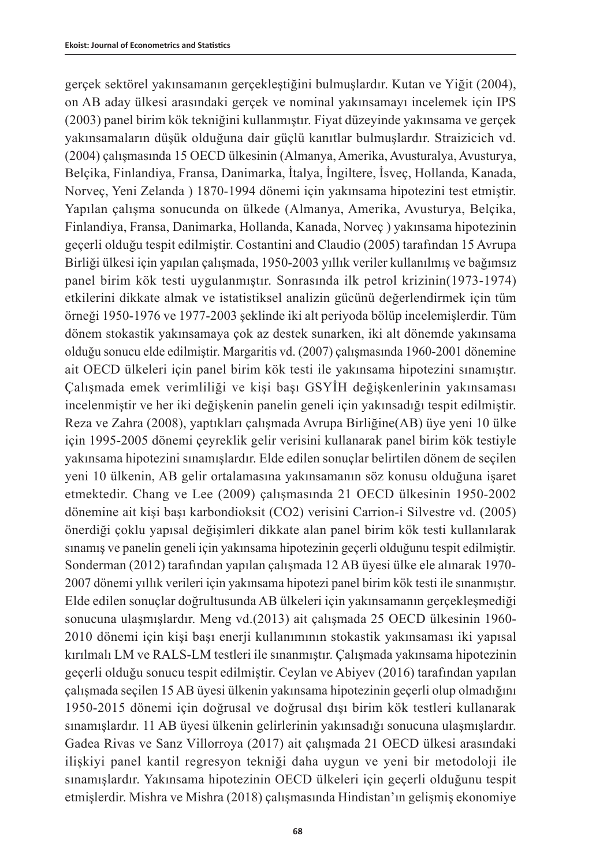gerçek sektörel yakınsamanın gerçekleştiğini bulmuşlardır. Kutan ve Yiğit (2004), on AB aday ülkesi arasındaki gerçek ve nominal yakınsamayı incelemek için IPS (2003) panel birim kök tekniğini kullanmıştır. Fiyat düzeyinde yakınsama ve gerçek yakınsamaların düşük olduğuna dair güçlü kanıtlar bulmuşlardır. Straizicich vd. (2004) çalışmasında 15 OECD ülkesinin (Almanya, Amerika, Avusturalya, Avusturya, Belçika, Finlandiya, Fransa, Danimarka, İtalya, İngiltere, İsveç, Hollanda, Kanada, Norveç, Yeni Zelanda ) 1870-1994 dönemi için yakınsama hipotezini test etmiştir. Yapılan çalışma sonucunda on ülkede (Almanya, Amerika, Avusturya, Belçika, Finlandiya, Fransa, Danimarka, Hollanda, Kanada, Norveç ) yakınsama hipotezinin geçerli olduğu tespit edilmiştir. Costantini and Claudio (2005) tarafından 15 Avrupa Birliği ülkesi için yapılan çalışmada, 1950-2003 yıllık veriler kullanılmış ve bağımsız panel birim kök testi uygulanmıştır. Sonrasında ilk petrol krizinin(1973-1974) etkilerini dikkate almak ve istatistiksel analizin gücünü değerlendirmek için tüm örneği 1950-1976 ve 1977-2003 şeklinde iki alt periyoda bölüp incelemişlerdir. Tüm dönem stokastik yakınsamaya çok az destek sunarken, iki alt dönemde yakınsama olduğu sonucu elde edilmiştir. Margaritis vd. (2007) çalışmasında 1960-2001 dönemine ait OECD ülkeleri için panel birim kök testi ile yakınsama hipotezini sınamıştır. Çalışmada emek verimliliği ve kişi başı GSYİH değişkenlerinin yakınsaması incelenmiştir ve her iki değişkenin panelin geneli için yakınsadığı tespit edilmiştir. Reza ve Zahra (2008), yaptıkları çalışmada Avrupa Birliğine(AB) üye yeni 10 ülke için 1995-2005 dönemi çeyreklik gelir verisini kullanarak panel birim kök testiyle yakınsama hipotezini sınamışlardır. Elde edilen sonuçlar belirtilen dönem de seçilen yeni 10 ülkenin, AB gelir ortalamasına yakınsamanın söz konusu olduğuna işaret etmektedir. Chang ve Lee (2009) çalışmasında 21 OECD ülkesinin 1950-2002 dönemine ait kişi başı karbondioksit (CO2) verisini Carrion-i Silvestre vd. (2005) önerdiği çoklu yapısal değişimleri dikkate alan panel birim kök testi kullanılarak sınamış ve panelin geneli için yakınsama hipotezinin geçerli olduğunu tespit edilmiştir. Sonderman (2012) tarafından yapılan çalışmada 12 AB üyesi ülke ele alınarak 1970- 2007 dönemi yıllık verileri için yakınsama hipotezi panel birim kök testi ile sınanmıştır. Elde edilen sonuçlar doğrultusunda AB ülkeleri için yakınsamanın gerçekleşmediği sonucuna ulaşmışlardır. Meng vd.(2013) ait çalışmada 25 OECD ülkesinin 1960- 2010 dönemi için kişi başı enerji kullanımının stokastik yakınsaması iki yapısal kırılmalı LM ve RALS-LM testleri ile sınanmıştır. Çalışmada yakınsama hipotezinin geçerli olduğu sonucu tespit edilmiştir. Ceylan ve Abiyev (2016) tarafından yapılan çalışmada seçilen 15 AB üyesi ülkenin yakınsama hipotezinin geçerli olup olmadığını 1950-2015 dönemi için doğrusal ve doğrusal dışı birim kök testleri kullanarak sınamışlardır. 11 AB üyesi ülkenin gelirlerinin yakınsadığı sonucuna ulaşmışlardır. Gadea Rivas ve Sanz Villorroya (2017) ait çalışmada 21 OECD ülkesi arasındaki ilişkiyi panel kantil regresyon tekniği daha uygun ve yeni bir metodoloji ile sınamışlardır. Yakınsama hipotezinin OECD ülkeleri için geçerli olduğunu tespit etmişlerdir. Mishra ve Mishra (2018) çalışmasında Hindistan'ın gelişmiş ekonomiye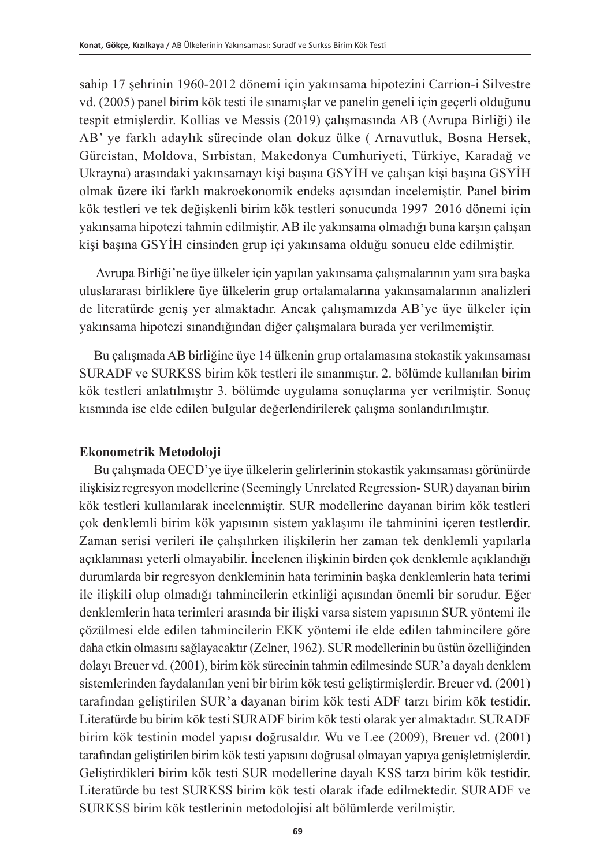sahip 17 şehrinin 1960-2012 dönemi için yakınsama hipotezini Carrion-i Silvestre vd. (2005) panel birim kök testi ile sınamışlar ve panelin geneli için geçerli olduğunu tespit etmişlerdir. Kollias ve Messis (2019) çalışmasında AB (Avrupa Birliği) ile AB' ye farklı adaylık sürecinde olan dokuz ülke ( Arnavutluk, Bosna Hersek, Gürcistan, Moldova, Sırbistan, Makedonya Cumhuriyeti, Türkiye, Karadağ ve Ukrayna) arasındaki yakınsamayı kişi başına GSYİH ve çalışan kişi başına GSYİH olmak üzere iki farklı makroekonomik endeks açısından incelemiştir. Panel birim kök testleri ve tek değişkenli birim kök testleri sonucunda 1997–2016 dönemi için yakınsama hipotezi tahmin edilmiştir. AB ile yakınsama olmadığı buna karşın çalışan kişi başına GSYİH cinsinden grup içi yakınsama olduğu sonucu elde edilmiştir.

 Avrupa Birliği'ne üye ülkeler için yapılan yakınsama çalışmalarının yanı sıra başka uluslararası birliklere üye ülkelerin grup ortalamalarına yakınsamalarının analizleri de literatürde geniş yer almaktadır. Ancak çalışmamızda AB'ye üye ülkeler için yakınsama hipotezi sınandığından diğer çalışmalara burada yer verilmemiştir.

Bu çalışmada AB birliğine üye 14 ülkenin grup ortalamasına stokastik yakınsaması SURADF ve SURKSS birim kök testleri ile sınanmıştır. 2. bölümde kullanılan birim kök testleri anlatılmıştır 3. bölümde uygulama sonuçlarına yer verilmiştir. Sonuç kısmında ise elde edilen bulgular değerlendirilerek çalışma sonlandırılmıştır.

### **Ekonometrik Metodoloji**

Bu çalışmada OECD'ye üye ülkelerin gelirlerinin stokastik yakınsaması görünürde ilişkisiz regresyon modellerine (Seemingly Unrelated Regression- SUR) dayanan birim kök testleri kullanılarak incelenmiştir. SUR modellerine dayanan birim kök testleri çok denklemli birim kök yapısının sistem yaklaşımı ile tahminini içeren testlerdir. Zaman serisi verileri ile çalışılırken ilişkilerin her zaman tek denklemli yapılarla açıklanması yeterli olmayabilir. İncelenen ilişkinin birden çok denklemle açıklandığı durumlarda bir regresyon denkleminin hata teriminin başka denklemlerin hata terimi ile ilişkili olup olmadığı tahmincilerin etkinliği açısından önemli bir sorudur. Eğer denklemlerin hata terimleri arasında bir ilişki varsa sistem yapısının SUR yöntemi ile çözülmesi elde edilen tahmincilerin EKK yöntemi ile elde edilen tahmincilere göre daha etkin olmasını sağlayacaktır (Zelner, 1962). SUR modellerinin bu üstün özelliğinden dolayı Breuer vd. (2001), birim kök sürecinin tahmin edilmesinde SUR'a dayalı denklem sistemlerinden faydalanılan yeni bir birim kök testi geliştirmişlerdir. Breuer vd. (2001) tarafından geliştirilen SUR'a dayanan birim kök testi ADF tarzı birim kök testidir. Literatürde bu birim kök testi SURADF birim kök testi olarak yer almaktadır. SURADF birim kök testinin model yapısı doğrusaldır. Wu ve Lee (2009), Breuer vd. (2001) tarafından geliştirilen birim kök testi yapısını doğrusal olmayan yapıya genişletmişlerdir. Geliştirdikleri birim kök testi SUR modellerine dayalı KSS tarzı birim kök testidir. Literatürde bu test SURKSS birim kök testi olarak ifade edilmektedir. SURADF ve SURKSS birim kök testlerinin metodolojisi alt bölümlerde verilmiştir.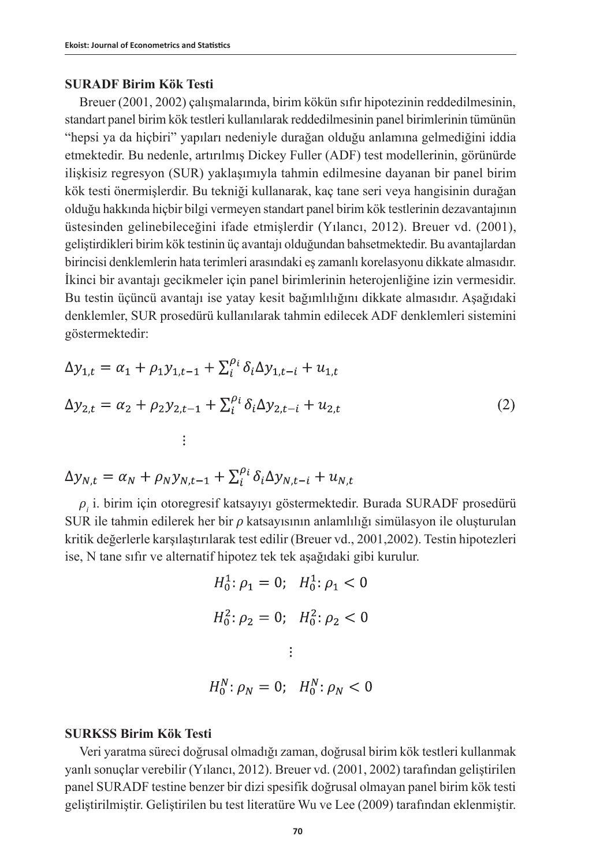## **SURADF Birim Kök Testi**

Breuer (2001, 2002) çalışmalarında, birim kökün sıfır hipotezinin reddedilmesinin, standart panel birim kök testleri kullanılarak reddedilmesinin panel birimlerinin tümünün "hepsi ya da hiçbiri" yapıları nedeniyle durağan olduğu anlamına gelmediğini iddia etmektedir. Bu nedenle, artırılmış Dickey Fuller (ADF) test modellerinin, görünürde ilişkisiz regresyon (SUR) yaklaşımıyla tahmin edilmesine dayanan bir panel birim kök testi önermişlerdir. Bu tekniği kullanarak, kaç tane seri veya hangisinin durağan olduğu hakkında hiçbir bilgi vermeyen standart panel birim kök testlerinin dezavantajının üstesinden gelinebileceğini ifade etmişlerdir (Yılancı, 2012). Breuer vd. (2001), geliştirdikleri birim kök testinin üç avantajı olduğundan bahsetmektedir. Bu avantajlardan birincisi denklemlerin hata terimleri arasındaki eş zamanlı korelasyonu dikkate almasıdır. İkinci bir avantajı gecikmeler için panel birimlerinin heterojenliğine izin vermesidir. Bu testin üçüncü avantajı ise yatay kesit bağımlılığını dikkate almasıdır. Aşağıdaki denklemler, SUR prosedürü kullanılarak tahmin edilecek ADF denklemleri sistemini göstermektedir:

$$
\Delta y_{1,t} = \alpha_1 + \rho_1 y_{1,t-1} + \sum_{i}^{\rho_i} \delta_i \Delta y_{1,t-i} + u_{1,t}
$$
  
\n
$$
\Delta y_{2,t} = \alpha_2 + \rho_2 y_{2,t-1} + \sum_{i}^{\rho_i} \delta_i \Delta y_{2,t-i} + u_{2,t}
$$
  
\n
$$
\vdots
$$
\n(2)

$$
\Delta y_{N,t} = \alpha_N + \rho_N y_{N,t-1} + \sum_i^{\rho_i} \delta_i \Delta y_{N,t-i} + u_{N,t}
$$

*ρi* i. birim için otoregresif katsayıyı göstermektedir. Burada SURADF prosedürü SUR ile tahmin edilerek her bir *ρ* katsayısının anlamlılığı simülasyon ile oluşturulan kritik değerlerle karşılaştırılarak test edilir (Breuer vd., 2001,2002). Testin hipotezleri ise, N tane sıfır ve alternatif hipotez tek tek aşağıdaki gibi kurulur.

$$
H_0^1: \rho_1 = 0; \quad H_0^1: \rho_1 < 0
$$
\n
$$
H_0^2: \rho_2 = 0; \quad H_0^2: \rho_2 < 0
$$
\n
$$
\vdots
$$
\n
$$
H_0^N: \rho_N = 0; \quad H_0^N: \rho_N < 0
$$

## **SURKSS Birim Kök Testi**

Veri yaratma süreci doğrusal olmadığı zaman, doğrusal birim kök testleri kullanmak yanlı sonuçlar verebilir (Yılancı, 2012). Breuer vd. (2001, 2002) tarafından geliştirilen panel SURADF testine benzer bir dizi spesifik doğrusal olmayan panel birim kök testi geliştirilmiştir. Geliştirilen bu test literatüre Wu ve Lee (2009) tarafından eklenmiştir.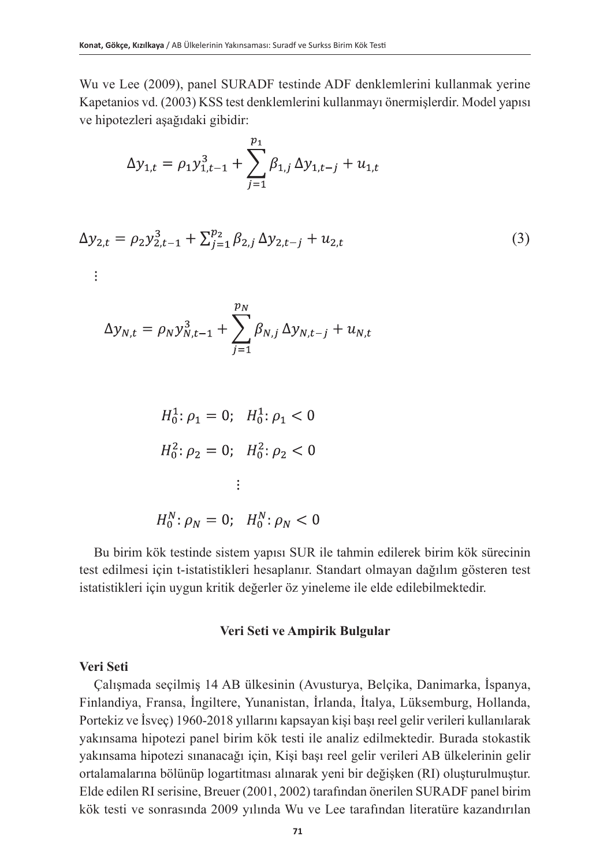Wu ve Lee (2009), panel SURADF testinde ADF denklemlerini kullanmak yerine Kapetanios vd. (2003) KSS test denklemlerini kullanmayı önermişlerdir. Model yapısı ve hipotezleri aşağıdaki gibidir:

$$
\Delta y_{1,t} = \rho_1 y_{1,t-1}^3 + \sum_{j=1}^{p_1} \beta_{1,j} \, \Delta y_{1,t-j} + u_{1,t}
$$

$$
\Delta y_{2,t} = \rho_2 y_{2,t-1}^3 + \sum_{j=1}^{p_2} \beta_{2,j} \, \Delta y_{2,t-j} + u_{2,t} \tag{3}
$$

 $\vdots$ 

$$
\Delta y_{N,t} = \rho_N y_{N,t-1}^3 + \sum_{j=1}^{p_N} \beta_{N,j} \, \Delta y_{N,t-j} + u_{N,t}
$$

$$
H_0^1: \rho_1 = 0; \quad H_0^1: \rho_1 < 0
$$
\n
$$
H_0^2: \rho_2 = 0; \quad H_0^2: \rho_2 < 0
$$
\n
$$
\vdots
$$
\n
$$
H_0^N: \rho_N = 0; \quad H_0^N: \rho_N < 0
$$

Bu birim kök testinde sistem yapısı SUR ile tahmin edilerek birim kök sürecinin test edilmesi için t-istatistikleri hesaplanır. Standart olmayan dağılım gösteren test istatistikleri için uygun kritik değerler öz yineleme ile elde edilebilmektedir.

### **Veri Seti ve Ampirik Bulgular**

## **Veri Seti**

Çalışmada seçilmiş 14 AB ülkesinin (Avusturya, Belçika, Danimarka, İspanya, Finlandiya, Fransa, İngiltere, Yunanistan, İrlanda, İtalya, Lüksemburg, Hollanda, Portekiz ve İsveç) 1960-2018 yıllarını kapsayan kişi başı reel gelir verileri kullanılarak yakınsama hipotezi panel birim kök testi ile analiz edilmektedir. Burada stokastik yakınsama hipotezi sınanacağı için, Kişi başı reel gelir verileri AB ülkelerinin gelir ortalamalarına bölünüp logartitması alınarak yeni bir değişken (RI) oluşturulmuştur. Elde edilen RI serisine, Breuer (2001, 2002) tarafından önerilen SURADF panel birim kök testi ve sonrasında 2009 yılında Wu ve Lee tarafından literatüre kazandırılan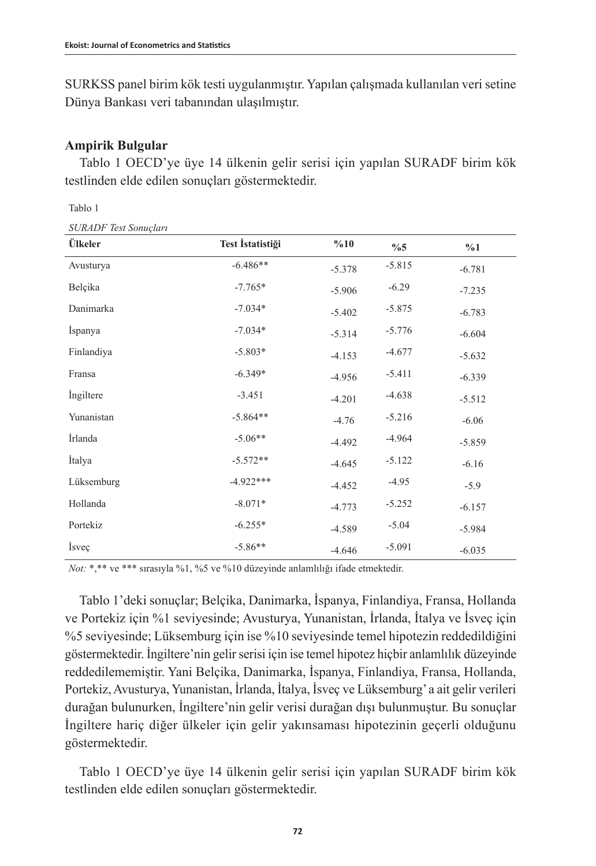SURKSS panel birim kök testi uygulanmıştır. Yapılan çalışmada kullanılan veri setine Dünya Bankası veri tabanından ulaşılmıştır.

## **Ampirik Bulgular**

Tablo 1 OECD'ye üye 14 ülkenin gelir serisi için yapılan SURADF birim kök testlinden elde edilen sonuçları göstermektedir.

| I |  |
|---|--|
|---|--|

| sonansı veri sonuçun i<br>Ülkeler | Test İstatistiği | %10      | $\%5$    | %1       |
|-----------------------------------|------------------|----------|----------|----------|
| Avusturya                         | $-6.486**$       | $-5.378$ | $-5.815$ | $-6.781$ |
| Belçika                           | $-7.765*$        | $-5.906$ | $-6.29$  | $-7.235$ |
| Danimarka                         | $-7.034*$        | $-5.402$ | $-5.875$ | $-6.783$ |
| İspanya                           | $-7.034*$        | $-5.314$ | $-5.776$ | $-6.604$ |
| Finlandiya                        | $-5.803*$        | $-4.153$ | $-4.677$ | $-5.632$ |
| Fransa                            | $-6.349*$        | $-4.956$ | $-5.411$ | $-6.339$ |
| Ingiltere                         | $-3.451$         | $-4.201$ | $-4.638$ | $-5.512$ |
| Yunanistan                        | $-5.864**$       | $-4.76$  | $-5.216$ | $-6.06$  |
| İrlanda                           | $-5.06**$        | $-4.492$ | $-4.964$ | $-5.859$ |
| İtalya                            | $-5.572**$       | $-4.645$ | $-5.122$ | $-6.16$  |
| Lüksemburg                        | $-4.922***$      | $-4.452$ | $-4.95$  | $-5.9$   |
| Hollanda                          | $-8.071*$        | $-4.773$ | $-5.252$ | $-6.157$ |
| Portekiz                          | $-6.255*$        | $-4.589$ | $-5.04$  | $-5.984$ |
| <i>isvec</i>                      | $-5.86**$        | $-4.646$ | $-5.091$ | $-6.035$ |

*Not:* \*,\*\* ve \*\*\* sırasıyla %1, %5 ve %10 düzeyinde anlamlılığı ifade etmektedir.

Tablo 1'deki sonuçlar; Belçika, Danimarka, İspanya, Finlandiya, Fransa, Hollanda ve Portekiz için %1 seviyesinde; Avusturya, Yunanistan, İrlanda, İtalya ve İsveç için %5 seviyesinde; Lüksemburg için ise %10 seviyesinde temel hipotezin reddedildiğini göstermektedir. İngiltere'nin gelir serisi için ise temel hipotez hiçbir anlamlılık düzeyinde reddedilememiştir. Yani Belçika, Danimarka, İspanya, Finlandiya, Fransa, Hollanda, Portekiz, Avusturya, Yunanistan, İrlanda, İtalya, İsveç ve Lüksemburg' a ait gelir verileri durağan bulunurken, İngiltere'nin gelir verisi durağan dışı bulunmuştur. Bu sonuçlar İngiltere hariç diğer ülkeler için gelir yakınsaması hipotezinin geçerli olduğunu göstermektedir.

Tablo 1 OECD'ye üye 14 ülkenin gelir serisi için yapılan SURADF birim kök testlinden elde edilen sonuçları göstermektedir.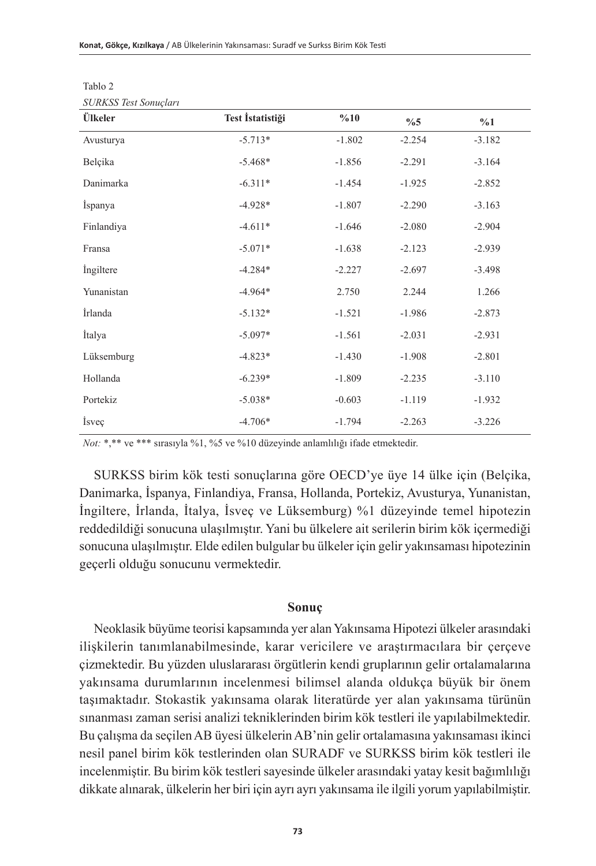| Ülkeler    | Test İstatistiği | %10      | $\%5$    | %1       |
|------------|------------------|----------|----------|----------|
| Avusturya  | $-5.713*$        | $-1.802$ | $-2.254$ | $-3.182$ |
| Belçika    | $-5.468*$        | $-1.856$ | $-2.291$ | $-3.164$ |
| Danimarka  | $-6.311*$        | $-1.454$ | $-1.925$ | $-2.852$ |
| İspanya    | $-4.928*$        | $-1.807$ | $-2.290$ | $-3.163$ |
| Finlandiya | $-4.611*$        | $-1.646$ | $-2.080$ | $-2.904$ |
| Fransa     | $-5.071*$        | $-1.638$ | $-2.123$ | $-2.939$ |
| Ingiltere  | $-4.284*$        | $-2.227$ | $-2.697$ | $-3.498$ |
| Yunanistan | $-4.964*$        | 2.750    | 2.244    | 1.266    |
| İrlanda    | $-5.132*$        | $-1.521$ | $-1.986$ | $-2.873$ |
| İtalya     | $-5.097*$        | $-1.561$ | $-2.031$ | $-2.931$ |
| Lüksemburg | $-4.823*$        | $-1.430$ | $-1.908$ | $-2.801$ |
| Hollanda   | $-6.239*$        | $-1.809$ | $-2.235$ | $-3.110$ |
| Portekiz   | $-5.038*$        | $-0.603$ | $-1.119$ | $-1.932$ |
| İsveç      | $-4.706*$        | $-1.794$ | $-2.263$ | $-3.226$ |

| ----------              |  |
|-------------------------|--|
| $CIDVCC$ Toot Constalar |  |
|                         |  |

Tablo 2

*Not:* \*,\*\* ve \*\*\* sırasıyla %1, %5 ve %10 düzeyinde anlamlılığı ifade etmektedir.

SURKSS birim kök testi sonuçlarına göre OECD'ye üye 14 ülke için (Belçika, Danimarka, İspanya, Finlandiya, Fransa, Hollanda, Portekiz, Avusturya, Yunanistan, İngiltere, İrlanda, İtalya, İsveç ve Lüksemburg) %1 düzeyinde temel hipotezin reddedildiği sonucuna ulaşılmıştır. Yani bu ülkelere ait serilerin birim kök içermediği sonucuna ulaşılmıştır. Elde edilen bulgular bu ülkeler için gelir yakınsaması hipotezinin geçerli olduğu sonucunu vermektedir.

## **Sonuç**

Neoklasik büyüme teorisi kapsamında yer alan Yakınsama Hipotezi ülkeler arasındaki ilişkilerin tanımlanabilmesinde, karar vericilere ve araştırmacılara bir çerçeve çizmektedir. Bu yüzden uluslararası örgütlerin kendi gruplarının gelir ortalamalarına yakınsama durumlarının incelenmesi bilimsel alanda oldukça büyük bir önem taşımaktadır. Stokastik yakınsama olarak literatürde yer alan yakınsama türünün sınanması zaman serisi analizi tekniklerinden birim kök testleri ile yapılabilmektedir. Bu çalışma da seçilen AB üyesi ülkelerin AB'nin gelir ortalamasına yakınsaması ikinci nesil panel birim kök testlerinden olan SURADF ve SURKSS birim kök testleri ile incelenmiştir. Bu birim kök testleri sayesinde ülkeler arasındaki yatay kesit bağımlılığı dikkate alınarak, ülkelerin her biri için ayrı ayrı yakınsama ile ilgili yorum yapılabilmiştir.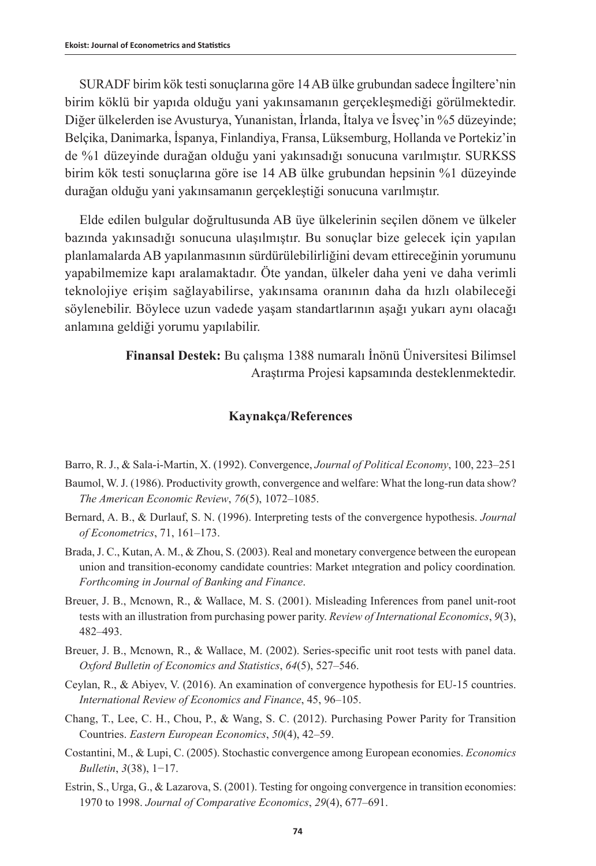SURADF birim kök testi sonuçlarına göre 14 AB ülke grubundan sadece İngiltere'nin birim köklü bir yapıda olduğu yani yakınsamanın gerçekleşmediği görülmektedir. Diğer ülkelerden ise Avusturya, Yunanistan, İrlanda, İtalya ve İsveç'in %5 düzeyinde; Belçika, Danimarka, İspanya, Finlandiya, Fransa, Lüksemburg, Hollanda ve Portekiz'in de %1 düzeyinde durağan olduğu yani yakınsadığı sonucuna varılmıştır. SURKSS birim kök testi sonuçlarına göre ise 14 AB ülke grubundan hepsinin %1 düzeyinde durağan olduğu yani yakınsamanın gerçekleştiği sonucuna varılmıştır.

Elde edilen bulgular doğrultusunda AB üye ülkelerinin seçilen dönem ve ülkeler bazında yakınsadığı sonucuna ulaşılmıştır. Bu sonuçlar bize gelecek için yapılan planlamalarda AB yapılanmasının sürdürülebilirliğini devam ettireceğinin yorumunu yapabilmemize kapı aralamaktadır. Öte yandan, ülkeler daha yeni ve daha verimli teknolojiye erişim sağlayabilirse, yakınsama oranının daha da hızlı olabileceği söylenebilir. Böylece uzun vadede yaşam standartlarının aşağı yukarı aynı olacağı anlamına geldiği yorumu yapılabilir.

> **Finansal Destek:** Bu çalışma 1388 numaralı İnönü Üniversitesi Bilimsel Araştırma Projesi kapsamında desteklenmektedir.

## **Kaynakça/References**

Barro, R. J., & Sala-i-Martin, X. (1992). Convergence, *Journal of Political Economy*, 100, 223–251

- Baumol, W. J. (1986). Productivity growth, convergence and welfare: What the long-run data show? *The American Economic Review*, *76*(5), 1072–1085.
- Bernard, A. B., & Durlauf, S. N. (1996). Interpreting tests of the convergence hypothesis. *Journal of Econometrics*, 71, 161–173.
- Brada, J. C., Kutan, A. M., & Zhou, S. (2003). Real and monetary convergence between the european union and transition-economy candidate countries: Market ıntegration and policy coordination*. Forthcoming in Journal of Banking and Finance*.
- Breuer, J. B., Mcnown, R., & Wallace, M. S. (2001). Misleading Inferences from panel unit-root tests with an illustration from purchasing power parity. *Review of International Economics*, *9*(3), 482–493.
- Breuer, J. B., Mcnown, R., & Wallace, M. (2002). Series‐specific unit root tests with panel data. *Oxford Bulletin of Economics and Statistics*, *64*(5), 527–546.
- Ceylan, R., & Abiyev, V. (2016). An examination of convergence hypothesis for EU-15 countries. *International Review of Economics and Finance*, 45, 96–105.
- Chang, T., Lee, C. H., Chou, P., & Wang, S. C. (2012). Purchasing Power Parity for Transition Countries. *Eastern European Economics*, *50*(4), 42–59.
- Costantini, M., & Lupi, C. (2005). Stochastic convergence among European economies. *Economics Bulletin*, *3*(38), 1−17.
- Estrin, S., Urga, G., & Lazarova, S. (2001). Testing for ongoing convergence in transition economies: 1970 to 1998. *Journal of Comparative Economics*, *29*(4), 677–691.